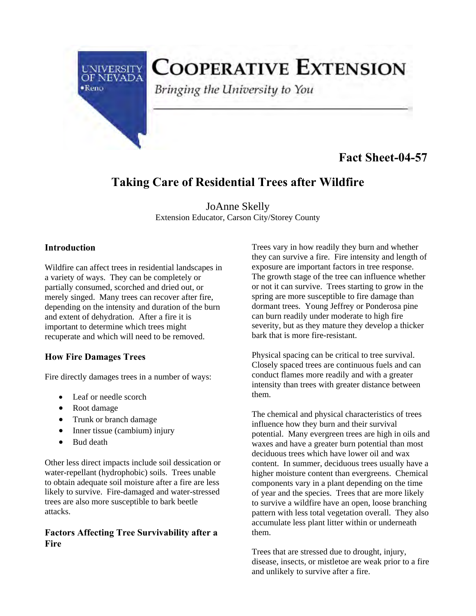

# **COOPERATIVE EXTENSION**

Bringing the University to You

## **Fact Sheet-04-57**

## **Taking Care of Residential Trees after Wildfire**

JoAnne Skelly Extension Educator, Carson City/Storey County

#### **Introduction**

Wildfire can affect trees in residential landscapes in a variety of ways. They can be completely or partially consumed, scorched and dried out, or merely singed. Many trees can recover after fire, depending on the intensity and duration of the burn and extent of dehydration. After a fire it is important to determine which trees might recuperate and which will need to be removed.

### **How Fire Damages Trees**

Fire directly damages trees in a number of ways:

- Leaf or needle scorch
- Root damage
- Trunk or branch damage
- Inner tissue (cambium) injury
- Bud death

Other less direct impacts include soil dessication or water-repellant (hydrophobic) soils. Trees unable to obtain adequate soil moisture after a fire are less likely to survive. Fire-damaged and water-stressed trees are also more susceptible to bark beetle attacks.

#### **Factors Affecting Tree Survivability after a Fire**

Trees vary in how readily they burn and whether they can survive a fire. Fire intensity and length of exposure are important factors in tree response. The growth stage of the tree can influence whether or not it can survive. Trees starting to grow in the spring are more susceptible to fire damage than dormant trees. Young Jeffrey or Ponderosa pine can burn readily under moderate to high fire severity, but as they mature they develop a thicker bark that is more fire-resistant.

Physical spacing can be critical to tree survival. Closely spaced trees are continuous fuels and can conduct flames more readily and with a greater intensity than trees with greater distance between them.

The chemical and physical characteristics of trees influence how they burn and their survival potential. Many evergreen trees are high in oils and waxes and have a greater burn potential than most deciduous trees which have lower oil and wax content. In summer, deciduous trees usually have a higher moisture content than evergreens. Chemical components vary in a plant depending on the time of year and the species. Trees that are more likely to survive a wildfire have an open, loose branching pattern with less total vegetation overall. They also accumulate less plant litter within or underneath them.

Trees that are stressed due to drought, injury, disease, insects, or mistletoe are weak prior to a fire and unlikely to survive after a fire.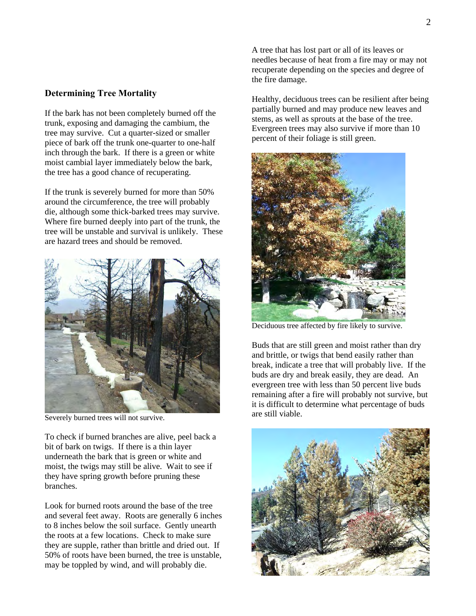#### **Determining Tree Mortality**

If the bark has not been completely burned off the trunk, exposing and damaging the cambium, the tree may survive. Cut a quarter-sized or smaller piece of bark off the trunk one-quarter to one-half inch through the bark. If there is a green or white moist cambial layer immediately below the bark, the tree has a good chance of recuperating.

If the trunk is severely burned for more than 50% around the circumference, the tree will probably die, although some thick-barked trees may survive. Where fire burned deeply into part of the trunk, the tree will be unstable and survival is unlikely. These are hazard trees and should be removed.



Severely burned trees will not survive.

To check if burned branches are alive, peel back a bit of bark on twigs. If there is a thin layer underneath the bark that is green or white and moist, the twigs may still be alive. Wait to see if they have spring growth before pruning these branches.

Look for burned roots around the base of the tree and several feet away. Roots are generally 6 inches to 8 inches below the soil surface. Gently unearth the roots at a few locations. Check to make sure they are supple, rather than brittle and dried out. If 50% of roots have been burned, the tree is unstable, may be toppled by wind, and will probably die.

 needles because of heat from a fire may or may not A tree that has lost part or all of its leaves or recuperate depending on the species and degree of the fire damage.

Healthy, deciduous trees can be resilient after being partially burned and may produce new leaves and stems, as well as sprouts at the base of the tree. Evergreen trees may also survive if more than 10 percent of their foliage is still green.



Deciduous tree affected by fire likely to survive.

Buds that are still green and moist rather than dry and brittle, or twigs that bend easily rather than break, indicate a tree that will probably live. If the buds are dry and break easily, they are dead. An evergreen tree with less than 50 percent live buds remaining after a fire will probably not survive, but it is difficult to determine what percentage of buds are still viable.

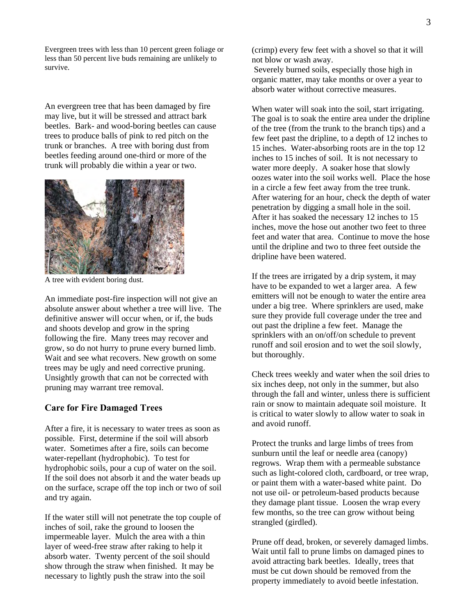Evergreen trees with less than 10 percent green foliage or less than 50 percent live buds remaining are unlikely to survive.

An evergreen tree that has been damaged by fire may live, but it will be stressed and attract bark beetles. Bark- and wood-boring beetles can cause trees to produce balls of pink to red pitch on the trunk or branches. A tree with boring dust from beetles feeding around one-third or more of the trunk will probably die within a year or two.



A tree with evident boring dust.

An immediate post-fire inspection will not give an absolute answer about whether a tree will live. The definitive answer will occur when, or if, the buds and shoots develop and grow in the spring following the fire. Many trees may recover and grow, so do not hurry to prune every burned limb. Wait and see what recovers. New growth on some trees may be ugly and need corrective pruning. Unsightly growth that can not be corrected with pruning may warrant tree removal.

#### **Care for Fire Damaged Trees**

After a fire, it is necessary to water trees as soon as possible. First, determine if the soil will absorb water. Sometimes after a fire, soils can become water-repellant (hydrophobic). To test for hydrophobic soils, pour a cup of water on the soil. If the soil does not absorb it and the water beads up on the surface, scrape off the top inch or two of soil and try again.

If the water still will not penetrate the top couple of inches of soil, rake the ground to loosen the impermeable layer. Mulch the area with a thin layer of weed-free straw after raking to help it absorb water. Twenty percent of the soil should show through the straw when finished. It may be necessary to lightly push the straw into the soil

 Severely burned soils, especially those high in organic matter, may take months or over a year to absorb water without corrective measures.

When water will soak into the soil, start irrigating. The goal is to soak the entire area under the dripline of the tree (from the trunk to the branch tips) and a few feet past the dripline, to a depth of 12 inches to 15 inches. Water-absorbing roots are in the top 12 inches to 15 inches of soil. It is not necessary to water more deeply. A soaker hose that slowly oozes water into the soil works well. Place the hose in a circle a few feet away from the tree trunk. After watering for an hour, check the depth of water penetration by digging a small hole in the soil. After it has soaked the necessary 12 inches to 15 inches, move the hose out another two feet to three feet and water that area. Continue to move the hose until the dripline and two to three feet outside the dripline have been watered.

If the trees are irrigated by a drip system, it may have to be expanded to wet a larger area. A few emitters will not be enough to water the entire area under a big tree. Where sprinklers are used, make sure they provide full coverage under the tree and out past the dripline a few feet. Manage the sprinklers with an on/off/on schedule to prevent runoff and soil erosion and to wet the soil slowly, but thoroughly.

Check trees weekly and water when the soil dries to six inches deep, not only in the summer, but also through the fall and winter, unless there is sufficient rain or snow to maintain adequate soil moisture. It is critical to water slowly to allow water to soak in and avoid runoff.

Protect the trunks and large limbs of trees from sunburn until the leaf or needle area (canopy) regrows. Wrap them with a permeable substance such as light-colored cloth, cardboard, or tree wrap, or paint them with a water-based white paint. Do not use oil- or petroleum-based products because they damage plant tissue. Loosen the wrap every few months, so the tree can grow without being strangled (girdled).

 property immediately to avoid beetle infestation. Prune off dead, broken, or severely damaged limbs. Wait until fall to prune limbs on damaged pines to avoid attracting bark beetles. Ideally, trees that must be cut down should be removed from the